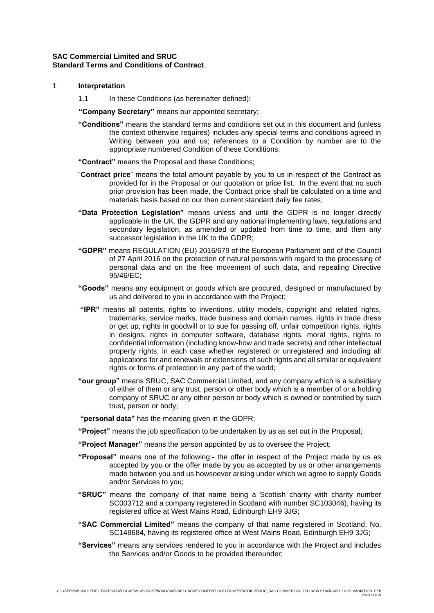# **SAC Commercial Limited and SRUC Standard Terms and Conditions of Contract**

### 1 **Interpretation**

- 1.1 In these Conditions (as hereinafter defined):
- **"Company Secretary"** means our appointed secretary;
- **"Conditions"** means the standard terms and conditions set out in this document and (unless the context otherwise requires) includes any special terms and conditions agreed in Writing between you and us; references to a Condition by number are to the appropriate numbered Condition of these Conditions;
- **"Contract"** means the Proposal and these Conditions;
- "**Contract price**" means the total amount payable by you to us in respect of the Contract as provided for in the Proposal or our quotation or price list. In the event that no such prior provision has been made, the Contract price shall be calculated on a time and materials basis based on our then current standard daily fee rates;
- **"Data Protection Legislation"** means unless and until the GDPR is no longer directly applicable in the UK, the GDPR and any national implementing laws, regulations and secondary legislation, as amended or updated from time to time, and then any successor legislation in the UK to the GDPR;
- **"GDPR"** means REGULATION (EU) 2016/679 of the European Parliament and of the Council of 27 April 2016 on the protection of natural persons with regard to the processing of personal data and on the free movement of such data, and repealing Directive 95/46/EC;
- **"Goods"** means any equipment or goods which are procured, designed or manufactured by us and delivered to you in accordance with the Project;
- **"IPR"** means all patents, rights to inventions, utility models, copyright and related rights, trademarks, service marks, trade business and domain names, rights in trade dress or get up, rights in goodwill or to sue for passing off, unfair competition rights, rights in designs, rights in computer software, database rights, moral rights, rights to confidential information (including know-how and trade secrets) and other intellectual property rights, in each case whether registered or unregistered and including all applications for and renewals or extensions of such rights and all similar or equivalent rights or forms of protection in any part of the world;
- **"our group"** means SRUC, SAC Commercial Limited, and any company which is a subsidiary of either of them or any trust, person or other body which is a member of or a holding company of SRUC or any other person or body which is owned or controlled by such trust, person or body;
- **"personal data"** has the meaning given in the GDPR;
- **"Project"** means the job specification to be undertaken by us as set out in the Proposal;
- **"Project Manager"** means the person appointed by us to oversee the Project;
- **"Proposal"** means one of the following:- the offer in respect of the Project made by us as accepted by you or the offer made by you as accepted by us or other arrangements made between you and us howsoever arising under which we agree to supply Goods and/or Services to you;
- **"SRUC"** means the company of that name being a Scottish charity with charity number SC003712 and a company registered in Scotland with number SC103046), having its registered office at West Mains Road, Edinburgh EH9 3JG;
- **"SAC Commercial Limited"** means the company of that name registered in Scotland, No. SC148684, having its registered office at West Mains Road, Edinburgh EH9 3JG;
- **"Services"** means any services rendered to you in accordance with the Project and includes the Services and/or Goods to be provided thereunder;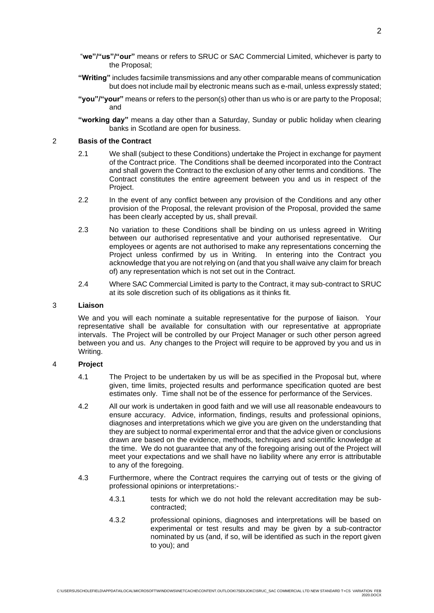- "**we"/"us"/"our"** means or refers to SRUC or SAC Commercial Limited, whichever is party to the Proposal;
- **"Writing"** includes facsimile transmissions and any other comparable means of communication but does not include mail by electronic means such as e-mail, unless expressly stated;
- **"you"/"your"** means or refers to the person(s) other than us who is or are party to the Proposal; and

**"working day"** means a day other than a Saturday, Sunday or public holiday when clearing banks in Scotland are open for business.

### 2 **Basis of the Contract**

- 2.1 We shall (subject to these Conditions) undertake the Project in exchange for payment of the Contract price. The Conditions shall be deemed incorporated into the Contract and shall govern the Contract to the exclusion of any other terms and conditions. The Contract constitutes the entire agreement between you and us in respect of the Project.
- 2.2 In the event of any conflict between any provision of the Conditions and any other provision of the Proposal, the relevant provision of the Proposal, provided the same has been clearly accepted by us, shall prevail.
- 2.3 No variation to these Conditions shall be binding on us unless agreed in Writing between our authorised representative and your authorised representative. Our employees or agents are not authorised to make any representations concerning the Project unless confirmed by us in Writing. In entering into the Contract you acknowledge that you are not relying on (and that you shall waive any claim for breach of) any representation which is not set out in the Contract.
- 2.4 Where SAC Commercial Limited is party to the Contract, it may sub-contract to SRUC at its sole discretion such of its obligations as it thinks fit.

#### 3 **Liaison**

We and you will each nominate a suitable representative for the purpose of liaison. Your representative shall be available for consultation with our representative at appropriate intervals. The Project will be controlled by our Project Manager or such other person agreed between you and us. Any changes to the Project will require to be approved by you and us in Writing.

## 4 **Project**

- 4.1 The Project to be undertaken by us will be as specified in the Proposal but, where given, time limits, projected results and performance specification quoted are best estimates only. Time shall not be of the essence for performance of the Services.
- 4.2 All our work is undertaken in good faith and we will use all reasonable endeavours to ensure accuracy. Advice, information, findings, results and professional opinions, diagnoses and interpretations which we give you are given on the understanding that they are subject to normal experimental error and that the advice given or conclusions drawn are based on the evidence, methods, techniques and scientific knowledge at the time. We do not guarantee that any of the foregoing arising out of the Project will meet your expectations and we shall have no liability where any error is attributable to any of the foregoing.
- 4.3 Furthermore, where the Contract requires the carrying out of tests or the giving of professional opinions or interpretations:-
	- 4.3.1 tests for which we do not hold the relevant accreditation may be subcontracted;
	- 4.3.2 professional opinions, diagnoses and interpretations will be based on experimental or test results and may be given by a sub-contractor nominated by us (and, if so, will be identified as such in the report given to you); and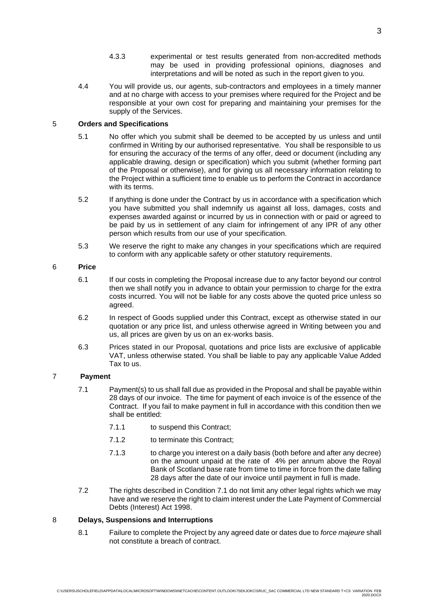- 4.3.3 experimental or test results generated from non-accredited methods may be used in providing professional opinions, diagnoses and interpretations and will be noted as such in the report given to you.
- 4.4 You will provide us, our agents, sub-contractors and employees in a timely manner and at no charge with access to your premises where required for the Project and be responsible at your own cost for preparing and maintaining your premises for the supply of the Services.

# 5 **Orders and Specifications**

- 5.1 No offer which you submit shall be deemed to be accepted by us unless and until confirmed in Writing by our authorised representative. You shall be responsible to us for ensuring the accuracy of the terms of any offer, deed or document (including any applicable drawing, design or specification) which you submit (whether forming part of the Proposal or otherwise), and for giving us all necessary information relating to the Project within a sufficient time to enable us to perform the Contract in accordance with its terms.
- 5.2 If anything is done under the Contract by us in accordance with a specification which you have submitted you shall indemnify us against all loss, damages, costs and expenses awarded against or incurred by us in connection with or paid or agreed to be paid by us in settlement of any claim for infringement of any IPR of any other person which results from our use of your specification.
- 5.3 We reserve the right to make any changes in your specifications which are required to conform with any applicable safety or other statutory requirements.

# 6 **Price**

- 6.1 If our costs in completing the Proposal increase due to any factor beyond our control then we shall notify you in advance to obtain your permission to charge for the extra costs incurred. You will not be liable for any costs above the quoted price unless so agreed.
- 6.2 In respect of Goods supplied under this Contract, except as otherwise stated in our quotation or any price list, and unless otherwise agreed in Writing between you and us, all prices are given by us on an ex-works basis.
- 6.3 Prices stated in our Proposal, quotations and price lists are exclusive of applicable VAT, unless otherwise stated. You shall be liable to pay any applicable Value Added Tax to us.

# 7 **Payment**

- 7.1 Payment(s) to us shall fall due as provided in the Proposal and shall be payable within 28 days of our invoice. The time for payment of each invoice is of the essence of the Contract. If you fail to make payment in full in accordance with this condition then we shall be entitled:
	- 7.1.1 to suspend this Contract;
	- 7.1.2 to terminate this Contract;
	- 7.1.3 to charge you interest on a daily basis (both before and after any decree) on the amount unpaid at the rate of 4% per annum above the Royal Bank of Scotland base rate from time to time in force from the date falling 28 days after the date of our invoice until payment in full is made.
- 7.2 The rights described in Condition 7.1 do not limit any other legal rights which we may have and we reserve the right to claim interest under the Late Payment of Commercial Debts (Interest) Act 1998.

# 8 **Delays, Suspensions and Interruptions**

8.1 Failure to complete the Project by any agreed date or dates due to *force majeure* shall not constitute a breach of contract.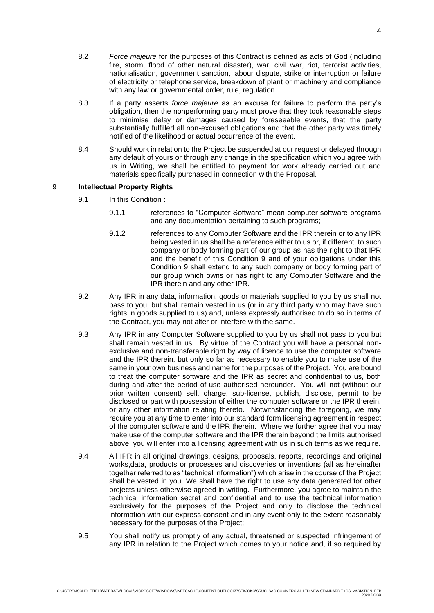- 8.2 *Force majeure* for the purposes of this Contract is defined as acts of God (including fire, storm, flood of other natural disaster), war, civil war, riot, terrorist activities, nationalisation, government sanction, labour dispute, strike or interruption or failure of electricity or telephone service, breakdown of plant or machinery and compliance with any law or governmental order, rule, regulation.
- 8.3 If a party asserts *force majeure* as an excuse for failure to perform the party's obligation, then the nonperforming party must prove that they took reasonable steps to minimise delay or damages caused by foreseeable events, that the party substantially fulfilled all non-excused obligations and that the other party was timely notified of the likelihood or actual occurrence of the event.
- 8.4 Should work in relation to the Project be suspended at our request or delayed through any default of yours or through any change in the specification which you agree with us in Writing, we shall be entitled to payment for work already carried out and materials specifically purchased in connection with the Proposal.

## 9 **Intellectual Property Rights**

- 9.1 In this Condition :
	- 9.1.1 references to "Computer Software" mean computer software programs and any documentation pertaining to such programs;
	- 9.1.2 references to any Computer Software and the IPR therein or to any IPR being vested in us shall be a reference either to us or, if different, to such company or body forming part of our group as has the right to that IPR and the benefit of this Condition 9 and of your obligations under this Condition 9 shall extend to any such company or body forming part of our group which owns or has right to any Computer Software and the IPR therein and any other IPR.
- 9.2 Any IPR in any data, information, goods or materials supplied to you by us shall not pass to you, but shall remain vested in us (or in any third party who may have such rights in goods supplied to us) and, unless expressly authorised to do so in terms of the Contract, you may not alter or interfere with the same.
- 9.3 Any IPR in any Computer Software supplied to you by us shall not pass to you but shall remain vested in us. By virtue of the Contract you will have a personal nonexclusive and non-transferable right by way of licence to use the computer software and the IPR therein, but only so far as necessary to enable you to make use of the same in your own business and name for the purposes of the Project. You are bound to treat the computer software and the IPR as secret and confidential to us, both during and after the period of use authorised hereunder. You will not (without our prior written consent) sell, charge, sub-license, publish, disclose, permit to be disclosed or part with possession of either the computer software or the IPR therein, or any other information relating thereto. Notwithstanding the foregoing, we may require you at any time to enter into our standard form licensing agreement in respect of the computer software and the IPR therein. Where we further agree that you may make use of the computer software and the IPR therein beyond the limits authorised above, you will enter into a licensing agreement with us in such terms as we require.
- 9.4 All IPR in all original drawings, designs, proposals, reports, recordings and original works,data, products or processes and discoveries or inventions (all as hereinafter together referred to as "technical information") which arise in the course of the Project shall be vested in you. We shall have the right to use any data generated for other projects unless otherwise agreed in writing. Furthermore, you agree to maintain the technical information secret and confidential and to use the technical information exclusively for the purposes of the Project and only to disclose the technical information with our express consent and in any event only to the extent reasonably necessary for the purposes of the Project;
- 9.5 You shall notify us promptly of any actual, threatened or suspected infringement of any IPR in relation to the Project which comes to your notice and, if so required by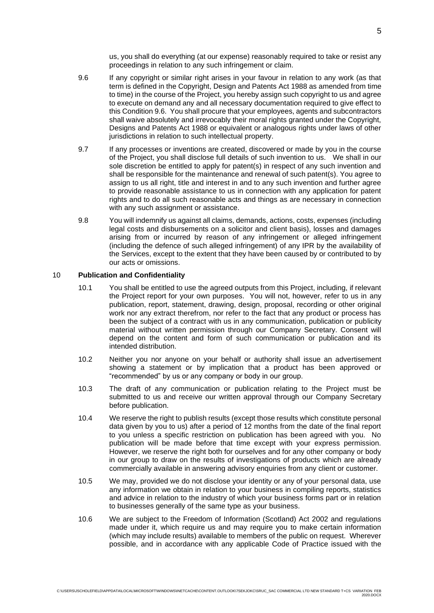us, you shall do everything (at our expense) reasonably required to take or resist any proceedings in relation to any such infringement or claim.

- 9.6 If any copyright or similar right arises in your favour in relation to any work (as that term is defined in the Copyright, Design and Patents Act 1988 as amended from time to time) in the course of the Project, you hereby assign such copyright to us and agree to execute on demand any and all necessary documentation required to give effect to this Condition 9.6. You shall procure that your employees, agents and subcontractors shall waive absolutely and irrevocably their moral rights granted under the Copyright, Designs and Patents Act 1988 or equivalent or analogous rights under laws of other jurisdictions in relation to such intellectual property.
- 9.7 If any processes or inventions are created, discovered or made by you in the course of the Project, you shall disclose full details of such invention to us. We shall in our sole discretion be entitled to apply for patent(s) in respect of any such invention and shall be responsible for the maintenance and renewal of such patent(s). You agree to assign to us all right, title and interest in and to any such invention and further agree to provide reasonable assistance to us in connection with any application for patent rights and to do all such reasonable acts and things as are necessary in connection with any such assignment or assistance.
- 9.8 You will indemnify us against all claims, demands, actions, costs, expenses (including legal costs and disbursements on a solicitor and client basis), losses and damages arising from or incurred by reason of any infringement or alleged infringement (including the defence of such alleged infringement) of any IPR by the availability of the Services, except to the extent that they have been caused by or contributed to by our acts or omissions.

## 10 **Publication and Confidentiality**

- 10.1 You shall be entitled to use the agreed outputs from this Project, including, if relevant the Project report for your own purposes. You will not, however, refer to us in any publication, report, statement, drawing, design, proposal, recording or other original work nor any extract therefrom, nor refer to the fact that any product or process has been the subject of a contract with us in any communication, publication or publicity material without written permission through our Company Secretary. Consent will depend on the content and form of such communication or publication and its intended distribution.
- 10.2 Neither you nor anyone on your behalf or authority shall issue an advertisement showing a statement or by implication that a product has been approved or "recommended" by us or any company or body in our group.
- 10.3 The draft of any communication or publication relating to the Project must be submitted to us and receive our written approval through our Company Secretary before publication.
- 10.4 We reserve the right to publish results (except those results which constitute personal data given by you to us) after a period of 12 months from the date of the final report to you unless a specific restriction on publication has been agreed with you. No publication will be made before that time except with your express permission. However, we reserve the right both for ourselves and for any other company or body in our group to draw on the results of investigations of products which are already commercially available in answering advisory enquiries from any client or customer.
- 10.5 We may, provided we do not disclose your identity or any of your personal data, use any information we obtain in relation to your business in compiling reports, statistics and advice in relation to the industry of which your business forms part or in relation to businesses generally of the same type as your business.
- 10.6 We are subject to the Freedom of Information (Scotland) Act 2002 and regulations made under it, which require us and may require you to make certain information (which may include results) available to members of the public on request. Wherever possible, and in accordance with any applicable Code of Practice issued with the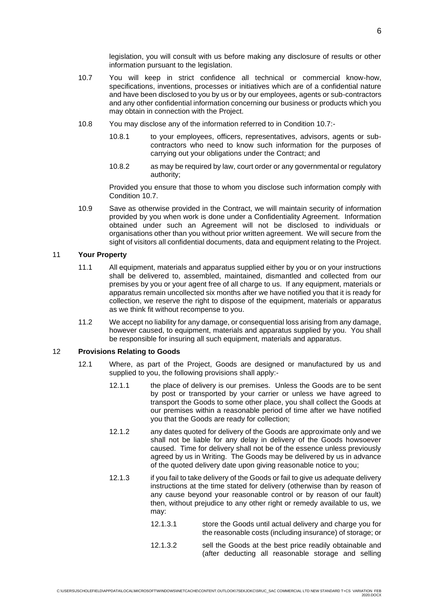legislation, you will consult with us before making any disclosure of results or other information pursuant to the legislation.

- 10.7 You will keep in strict confidence all technical or commercial know-how, specifications, inventions, processes or initiatives which are of a confidential nature and have been disclosed to you by us or by our employees, agents or sub-contractors and any other confidential information concerning our business or products which you may obtain in connection with the Project.
- 10.8 You may disclose any of the information referred to in Condition 10.7:-
	- 10.8.1 to your employees, officers, representatives, advisors, agents or subcontractors who need to know such information for the purposes of carrying out your obligations under the Contract; and
	- 10.8.2 as may be required by law, court order or any governmental or regulatory authority;

Provided you ensure that those to whom you disclose such information comply with Condition 10.7.

10.9 Save as otherwise provided in the Contract, we will maintain security of information provided by you when work is done under a Confidentiality Agreement. Information obtained under such an Agreement will not be disclosed to individuals or organisations other than you without prior written agreement. We will secure from the sight of visitors all confidential documents, data and equipment relating to the Project.

## 11 **Your Property**

- 11.1 All equipment, materials and apparatus supplied either by you or on your instructions shall be delivered to, assembled, maintained, dismantled and collected from our premises by you or your agent free of all charge to us. If any equipment, materials or apparatus remain uncollected six months after we have notified you that it is ready for collection, we reserve the right to dispose of the equipment, materials or apparatus as we think fit without recompense to you.
- 11.2 We accept no liability for any damage, or consequential loss arising from any damage, however caused, to equipment, materials and apparatus supplied by you. You shall be responsible for insuring all such equipment, materials and apparatus.

#### 12 **Provisions Relating to Goods**

- 12.1 Where, as part of the Project, Goods are designed or manufactured by us and supplied to you, the following provisions shall apply:-
	- 12.1.1 the place of delivery is our premises. Unless the Goods are to be sent by post or transported by your carrier or unless we have agreed to transport the Goods to some other place, you shall collect the Goods at our premises within a reasonable period of time after we have notified you that the Goods are ready for collection;
	- 12.1.2 any dates quoted for delivery of the Goods are approximate only and we shall not be liable for any delay in delivery of the Goods howsoever caused. Time for delivery shall not be of the essence unless previously agreed by us in Writing. The Goods may be delivered by us in advance of the quoted delivery date upon giving reasonable notice to you;
	- 12.1.3 if you fail to take delivery of the Goods or fail to give us adequate delivery instructions at the time stated for delivery (otherwise than by reason of any cause beyond your reasonable control or by reason of our fault) then, without prejudice to any other right or remedy available to us, we may:
		- 12.1.3.1 store the Goods until actual delivery and charge you for the reasonable costs (including insurance) of storage; or
		- 12.1.3.2 sell the Goods at the best price readily obtainable and (after deducting all reasonable storage and selling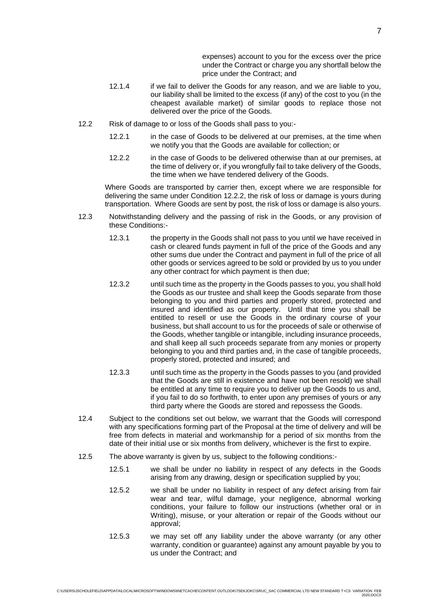expenses) account to you for the excess over the price under the Contract or charge you any shortfall below the price under the Contract; and

- 12.1.4 if we fail to deliver the Goods for any reason, and we are liable to you, our liability shall be limited to the excess (if any) of the cost to you (in the cheapest available market) of similar goods to replace those not delivered over the price of the Goods.
- 12.2 Risk of damage to or loss of the Goods shall pass to you:-
	- 12.2.1 in the case of Goods to be delivered at our premises, at the time when we notify you that the Goods are available for collection; or
	- 12.2.2 in the case of Goods to be delivered otherwise than at our premises, at the time of delivery or, if you wrongfully fail to take delivery of the Goods, the time when we have tendered delivery of the Goods.

Where Goods are transported by carrier then, except where we are responsible for delivering the same under Condition 12.2.2, the risk of loss or damage is yours during transportation. Where Goods are sent by post, the risk of loss or damage is also yours.

- 12.3 Notwithstanding delivery and the passing of risk in the Goods, or any provision of these Conditions:-
	- 12.3.1 the property in the Goods shall not pass to you until we have received in cash or cleared funds payment in full of the price of the Goods and any other sums due under the Contract and payment in full of the price of all other goods or services agreed to be sold or provided by us to you under any other contract for which payment is then due;
	- 12.3.2 until such time as the property in the Goods passes to you, you shall hold the Goods as our trustee and shall keep the Goods separate from those belonging to you and third parties and properly stored, protected and insured and identified as our property. Until that time you shall be entitled to resell or use the Goods in the ordinary course of your business, but shall account to us for the proceeds of sale or otherwise of the Goods, whether tangible or intangible, including insurance proceeds, and shall keep all such proceeds separate from any monies or property belonging to you and third parties and, in the case of tangible proceeds, properly stored, protected and insured; and
	- 12.3.3 until such time as the property in the Goods passes to you (and provided that the Goods are still in existence and have not been resold) we shall be entitled at any time to require you to deliver up the Goods to us and, if you fail to do so forthwith, to enter upon any premises of yours or any third party where the Goods are stored and repossess the Goods.
- 12.4 Subject to the conditions set out below, we warrant that the Goods will correspond with any specifications forming part of the Proposal at the time of delivery and will be free from defects in material and workmanship for a period of six months from the date of their initial use or six months from delivery, whichever is the first to expire.
- 12.5 The above warranty is given by us, subject to the following conditions:-
	- 12.5.1 we shall be under no liability in respect of any defects in the Goods arising from any drawing, design or specification supplied by you;
	- 12.5.2 we shall be under no liability in respect of any defect arising from fair wear and tear, wilful damage, your negligence, abnormal working conditions, your failure to follow our instructions (whether oral or in Writing), misuse, or your alteration or repair of the Goods without our approval;
	- 12.5.3 we may set off any liability under the above warranty (or any other warranty, condition or guarantee) against any amount payable by you to us under the Contract; and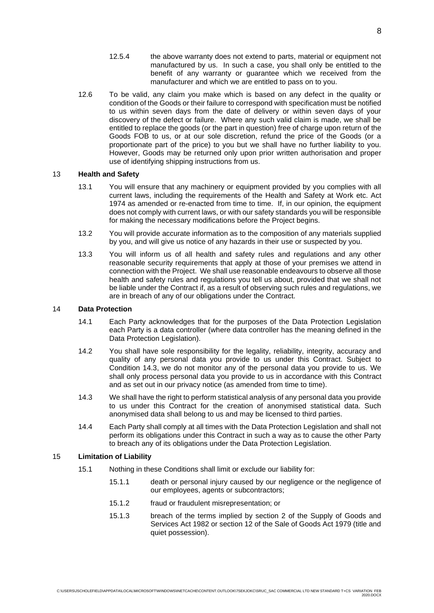- 12.5.4 the above warranty does not extend to parts, material or equipment not manufactured by us. In such a case, you shall only be entitled to the benefit of any warranty or guarantee which we received from the manufacturer and which we are entitled to pass on to you.
- 12.6 To be valid, any claim you make which is based on any defect in the quality or condition of the Goods or their failure to correspond with specification must be notified to us within seven days from the date of delivery or within seven days of your discovery of the defect or failure. Where any such valid claim is made, we shall be entitled to replace the goods (or the part in question) free of charge upon return of the Goods FOB to us, or at our sole discretion, refund the price of the Goods (or a proportionate part of the price) to you but we shall have no further liability to you. However, Goods may be returned only upon prior written authorisation and proper use of identifying shipping instructions from us.

## 13 **Health and Safety**

- 13.1 You will ensure that any machinery or equipment provided by you complies with all current laws, including the requirements of the Health and Safety at Work etc. Act 1974 as amended or re-enacted from time to time. If, in our opinion, the equipment does not comply with current laws, or with our safety standards you will be responsible for making the necessary modifications before the Project begins.
- 13.2 You will provide accurate information as to the composition of any materials supplied by you, and will give us notice of any hazards in their use or suspected by you.
- 13.3 You will inform us of all health and safety rules and regulations and any other reasonable security requirements that apply at those of your premises we attend in connection with the Project. We shall use reasonable endeavours to observe all those health and safety rules and regulations you tell us about, provided that we shall not be liable under the Contract if, as a result of observing such rules and regulations, we are in breach of any of our obligations under the Contract.

## 14 **Data Protection**

- 14.1 Each Party acknowledges that for the purposes of the Data Protection Legislation each Party is a data controller (where data controller has the meaning defined in the Data Protection Legislation).
- 14.2 You shall have sole responsibility for the legality, reliability, integrity, accuracy and quality of any personal data you provide to us under this Contract. Subject to Condition [14.3,](#page-7-0) we do not monitor any of the personal data you provide to us. We shall only process personal data you provide to us in accordance with this Contract and as set out in our privacy notice (as amended from time to time).
- <span id="page-7-0"></span>14.3 We shall have the right to perform statistical analysis of any personal data you provide to us under this Contract for the creation of anonymised statistical data. Such anonymised data shall belong to us and may be licensed to third parties.
- 14.4 Each Party shall comply at all times with the Data Protection Legislation and shall not perform its obligations under this Contract in such a way as to cause the other Party to breach any of its obligations under the Data Protection Legislation.

## 15 **Limitation of Liability**

- 15.1 Nothing in these Conditions shall limit or exclude our liability for:
	- 15.1.1 death or personal injury caused by our negligence or the negligence of our employees, agents or subcontractors;
	- 15.1.2 fraud or fraudulent misrepresentation; or
	- 15.1.3 breach of the terms implied by section 2 of the Supply of Goods and Services Act 1982 or section 12 of the Sale of Goods Act 1979 (title and quiet possession).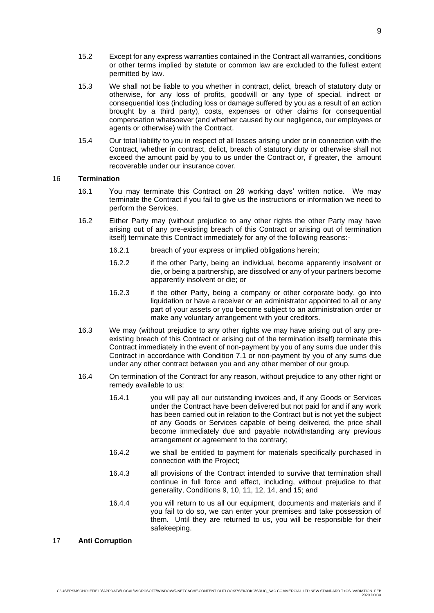- 15.2 Except for any express warranties contained in the Contract all warranties, conditions or other terms implied by statute or common law are excluded to the fullest extent permitted by law.
- 15.3 We shall not be liable to you whether in contract, delict, breach of statutory duty or otherwise, for any loss of profits, goodwill or any type of special, indirect or consequential loss (including loss or damage suffered by you as a result of an action brought by a third party), costs, expenses or other claims for consequential compensation whatsoever (and whether caused by our negligence, our employees or agents or otherwise) with the Contract.
- 15.4 Our total liability to you in respect of all losses arising under or in connection with the Contract, whether in contract, delict, breach of statutory duty or otherwise shall not exceed the amount paid by you to us under the Contract or, if greater, the amount recoverable under our insurance cover.

## 16 **Termination**

- 16.1 You may terminate this Contract on 28 working days' written notice. We may terminate the Contract if you fail to give us the instructions or information we need to perform the Services.
- 16.2 Either Party may (without prejudice to any other rights the other Party may have arising out of any pre-existing breach of this Contract or arising out of termination itself) terminate this Contract immediately for any of the following reasons:-
	- 16.2.1 breach of your express or implied obligations herein;
	- 16.2.2 if the other Party, being an individual, become apparently insolvent or die, or being a partnership, are dissolved or any of your partners become apparently insolvent or die; or
	- 16.2.3 if the other Party, being a company or other corporate body, go into liquidation or have a receiver or an administrator appointed to all or any part of your assets or you become subject to an administration order or make any voluntary arrangement with your creditors.
- 16.3 We may (without prejudice to any other rights we may have arising out of any preexisting breach of this Contract or arising out of the termination itself) terminate this Contract immediately in the event of non-payment by you of any sums due under this Contract in accordance with Condition 7.1 or non-payment by you of any sums due under any other contract between you and any other member of our group.
- 16.4 On termination of the Contract for any reason, without prejudice to any other right or remedy available to us:
	- 16.4.1 you will pay all our outstanding invoices and, if any Goods or Services under the Contract have been delivered but not paid for and if any work has been carried out in relation to the Contract but is not yet the subject of any Goods or Services capable of being delivered, the price shall become immediately due and payable notwithstanding any previous arrangement or agreement to the contrary;
	- 16.4.2 we shall be entitled to payment for materials specifically purchased in connection with the Project;
	- 16.4.3 all provisions of the Contract intended to survive that termination shall continue in full force and effect, including, without prejudice to that generality, Conditions 9, 10, 11, 12, 14, and 15; and
	- 16.4.4 you will return to us all our equipment, documents and materials and if you fail to do so, we can enter your premises and take possession of them. Until they are returned to us, you will be responsible for their safekeeping.

# 17 **Anti Corruption**